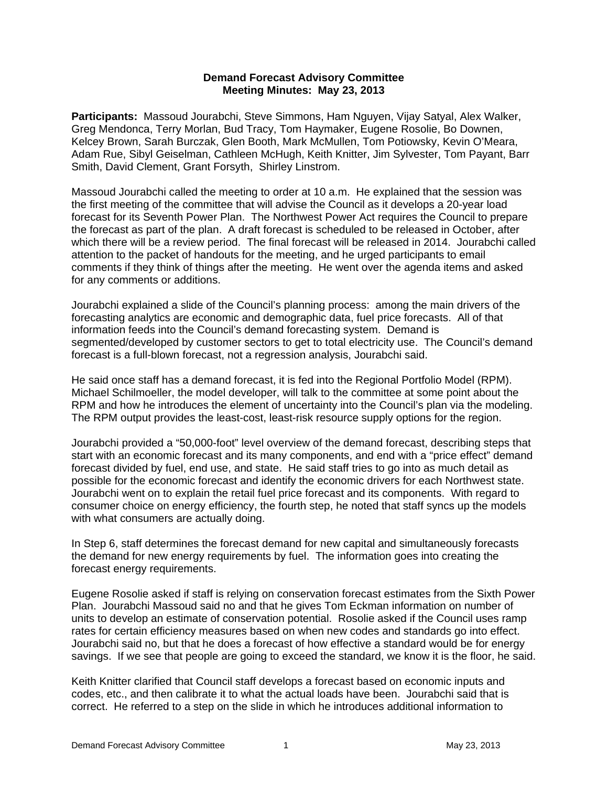## **Demand Forecast Advisory Committee Meeting Minutes: May 23, 2013**

**Participants:** Massoud Jourabchi, Steve Simmons, Ham Nguyen, Vijay Satyal, Alex Walker, Greg Mendonca, Terry Morlan, Bud Tracy, Tom Haymaker, Eugene Rosolie, Bo Downen, Kelcey Brown, Sarah Burczak, Glen Booth, Mark McMullen, Tom Potiowsky, Kevin O'Meara, Adam Rue, Sibyl Geiselman, Cathleen McHugh, Keith Knitter, Jim Sylvester, Tom Payant, Barr Smith, David Clement, Grant Forsyth, Shirley Linstrom.

Massoud Jourabchi called the meeting to order at 10 a.m. He explained that the session was the first meeting of the committee that will advise the Council as it develops a 20-year load forecast for its Seventh Power Plan. The Northwest Power Act requires the Council to prepare the forecast as part of the plan. A draft forecast is scheduled to be released in October, after which there will be a review period. The final forecast will be released in 2014. Jourabchi called attention to the packet of handouts for the meeting, and he urged participants to email comments if they think of things after the meeting. He went over the agenda items and asked for any comments or additions.

Jourabchi explained a slide of the Council's planning process: among the main drivers of the forecasting analytics are economic and demographic data, fuel price forecasts. All of that information feeds into the Council's demand forecasting system. Demand is segmented/developed by customer sectors to get to total electricity use. The Council's demand forecast is a full-blown forecast, not a regression analysis, Jourabchi said.

He said once staff has a demand forecast, it is fed into the Regional Portfolio Model (RPM). Michael Schilmoeller, the model developer, will talk to the committee at some point about the RPM and how he introduces the element of uncertainty into the Council's plan via the modeling. The RPM output provides the least-cost, least-risk resource supply options for the region.

Jourabchi provided a "50,000-foot" level overview of the demand forecast, describing steps that start with an economic forecast and its many components, and end with a "price effect" demand forecast divided by fuel, end use, and state. He said staff tries to go into as much detail as possible for the economic forecast and identify the economic drivers for each Northwest state. Jourabchi went on to explain the retail fuel price forecast and its components. With regard to consumer choice on energy efficiency, the fourth step, he noted that staff syncs up the models with what consumers are actually doing.

In Step 6, staff determines the forecast demand for new capital and simultaneously forecasts the demand for new energy requirements by fuel. The information goes into creating the forecast energy requirements.

Eugene Rosolie asked if staff is relying on conservation forecast estimates from the Sixth Power Plan. Jourabchi Massoud said no and that he gives Tom Eckman information on number of units to develop an estimate of conservation potential. Rosolie asked if the Council uses ramp rates for certain efficiency measures based on when new codes and standards go into effect. Jourabchi said no, but that he does a forecast of how effective a standard would be for energy savings. If we see that people are going to exceed the standard, we know it is the floor, he said.

Keith Knitter clarified that Council staff develops a forecast based on economic inputs and codes, etc., and then calibrate it to what the actual loads have been. Jourabchi said that is correct. He referred to a step on the slide in which he introduces additional information to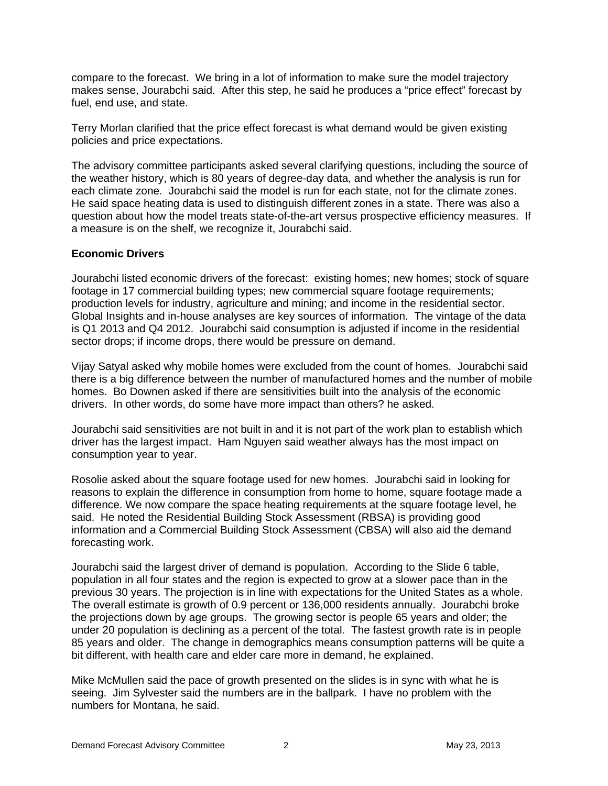compare to the forecast. We bring in a lot of information to make sure the model trajectory makes sense, Jourabchi said. After this step, he said he produces a "price effect" forecast by fuel, end use, and state.

Terry Morlan clarified that the price effect forecast is what demand would be given existing policies and price expectations.

The advisory committee participants asked several clarifying questions, including the source of the weather history, which is 80 years of degree-day data, and whether the analysis is run for each climate zone. Jourabchi said the model is run for each state, not for the climate zones. He said space heating data is used to distinguish different zones in a state. There was also a question about how the model treats state-of-the-art versus prospective efficiency measures. If a measure is on the shelf, we recognize it, Jourabchi said.

## **Economic Drivers**

Jourabchi listed economic drivers of the forecast: existing homes; new homes; stock of square footage in 17 commercial building types; new commercial square footage requirements; production levels for industry, agriculture and mining; and income in the residential sector. Global Insights and in-house analyses are key sources of information. The vintage of the data is Q1 2013 and Q4 2012. Jourabchi said consumption is adjusted if income in the residential sector drops; if income drops, there would be pressure on demand.

Vijay Satyal asked why mobile homes were excluded from the count of homes. Jourabchi said there is a big difference between the number of manufactured homes and the number of mobile homes. Bo Downen asked if there are sensitivities built into the analysis of the economic drivers. In other words, do some have more impact than others? he asked.

Jourabchi said sensitivities are not built in and it is not part of the work plan to establish which driver has the largest impact. Ham Nguyen said weather always has the most impact on consumption year to year.

Rosolie asked about the square footage used for new homes. Jourabchi said in looking for reasons to explain the difference in consumption from home to home, square footage made a difference. We now compare the space heating requirements at the square footage level, he said. He noted the Residential Building Stock Assessment (RBSA) is providing good information and a Commercial Building Stock Assessment (CBSA) will also aid the demand forecasting work.

Jourabchi said the largest driver of demand is population. According to the Slide 6 table, population in all four states and the region is expected to grow at a slower pace than in the previous 30 years. The projection is in line with expectations for the United States as a whole. The overall estimate is growth of 0.9 percent or 136,000 residents annually. Jourabchi broke the projections down by age groups. The growing sector is people 65 years and older; the under 20 population is declining as a percent of the total. The fastest growth rate is in people 85 years and older. The change in demographics means consumption patterns will be quite a bit different, with health care and elder care more in demand, he explained.

Mike McMullen said the pace of growth presented on the slides is in sync with what he is seeing. Jim Sylvester said the numbers are in the ballpark. I have no problem with the numbers for Montana, he said.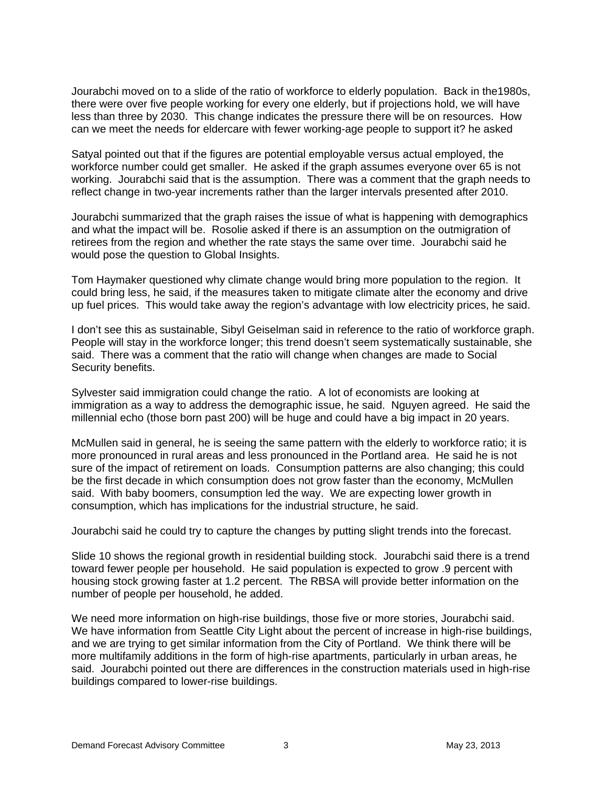Jourabchi moved on to a slide of the ratio of workforce to elderly population. Back in the1980s, there were over five people working for every one elderly, but if projections hold, we will have less than three by 2030. This change indicates the pressure there will be on resources. How can we meet the needs for eldercare with fewer working-age people to support it? he asked

Satyal pointed out that if the figures are potential employable versus actual employed, the workforce number could get smaller. He asked if the graph assumes everyone over 65 is not working. Jourabchi said that is the assumption. There was a comment that the graph needs to reflect change in two-year increments rather than the larger intervals presented after 2010.

Jourabchi summarized that the graph raises the issue of what is happening with demographics and what the impact will be. Rosolie asked if there is an assumption on the outmigration of retirees from the region and whether the rate stays the same over time. Jourabchi said he would pose the question to Global Insights.

Tom Haymaker questioned why climate change would bring more population to the region. It could bring less, he said, if the measures taken to mitigate climate alter the economy and drive up fuel prices. This would take away the region's advantage with low electricity prices, he said.

I don't see this as sustainable, Sibyl Geiselman said in reference to the ratio of workforce graph. People will stay in the workforce longer; this trend doesn't seem systematically sustainable, she said. There was a comment that the ratio will change when changes are made to Social Security benefits.

Sylvester said immigration could change the ratio. A lot of economists are looking at immigration as a way to address the demographic issue, he said. Nguyen agreed. He said the millennial echo (those born past 200) will be huge and could have a big impact in 20 years.

McMullen said in general, he is seeing the same pattern with the elderly to workforce ratio; it is more pronounced in rural areas and less pronounced in the Portland area. He said he is not sure of the impact of retirement on loads. Consumption patterns are also changing; this could be the first decade in which consumption does not grow faster than the economy, McMullen said. With baby boomers, consumption led the way. We are expecting lower growth in consumption, which has implications for the industrial structure, he said.

Jourabchi said he could try to capture the changes by putting slight trends into the forecast.

Slide 10 shows the regional growth in residential building stock. Jourabchi said there is a trend toward fewer people per household. He said population is expected to grow .9 percent with housing stock growing faster at 1.2 percent. The RBSA will provide better information on the number of people per household, he added.

We need more information on high-rise buildings, those five or more stories, Jourabchi said. We have information from Seattle City Light about the percent of increase in high-rise buildings, and we are trying to get similar information from the City of Portland. We think there will be more multifamily additions in the form of high-rise apartments, particularly in urban areas, he said. Jourabchi pointed out there are differences in the construction materials used in high-rise buildings compared to lower-rise buildings.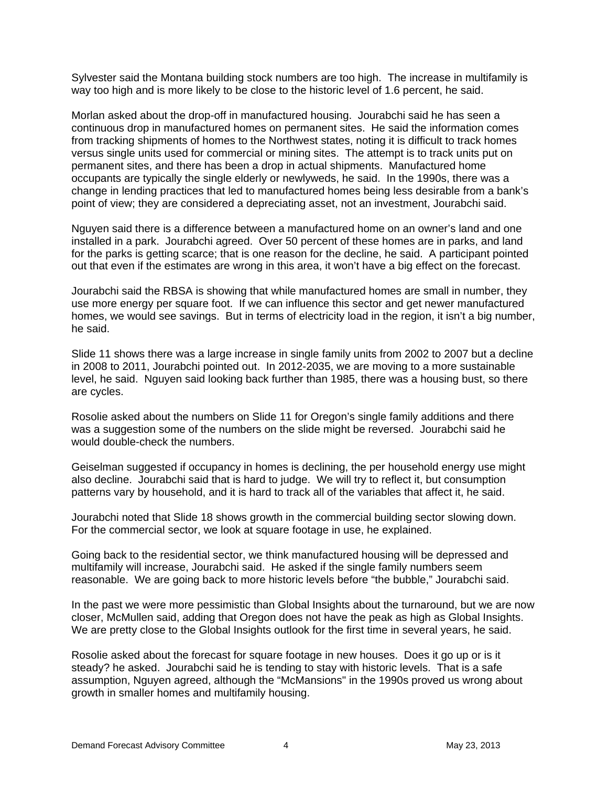Sylvester said the Montana building stock numbers are too high. The increase in multifamily is way too high and is more likely to be close to the historic level of 1.6 percent, he said.

Morlan asked about the drop-off in manufactured housing. Jourabchi said he has seen a continuous drop in manufactured homes on permanent sites. He said the information comes from tracking shipments of homes to the Northwest states, noting it is difficult to track homes versus single units used for commercial or mining sites. The attempt is to track units put on permanent sites, and there has been a drop in actual shipments. Manufactured home occupants are typically the single elderly or newlyweds, he said. In the 1990s, there was a change in lending practices that led to manufactured homes being less desirable from a bank's point of view; they are considered a depreciating asset, not an investment, Jourabchi said.

Nguyen said there is a difference between a manufactured home on an owner's land and one installed in a park. Jourabchi agreed. Over 50 percent of these homes are in parks, and land for the parks is getting scarce; that is one reason for the decline, he said. A participant pointed out that even if the estimates are wrong in this area, it won't have a big effect on the forecast.

Jourabchi said the RBSA is showing that while manufactured homes are small in number, they use more energy per square foot. If we can influence this sector and get newer manufactured homes, we would see savings. But in terms of electricity load in the region, it isn't a big number, he said.

Slide 11 shows there was a large increase in single family units from 2002 to 2007 but a decline in 2008 to 2011, Jourabchi pointed out. In 2012-2035, we are moving to a more sustainable level, he said. Nguyen said looking back further than 1985, there was a housing bust, so there are cycles.

Rosolie asked about the numbers on Slide 11 for Oregon's single family additions and there was a suggestion some of the numbers on the slide might be reversed. Jourabchi said he would double-check the numbers.

Geiselman suggested if occupancy in homes is declining, the per household energy use might also decline. Jourabchi said that is hard to judge. We will try to reflect it, but consumption patterns vary by household, and it is hard to track all of the variables that affect it, he said.

Jourabchi noted that Slide 18 shows growth in the commercial building sector slowing down. For the commercial sector, we look at square footage in use, he explained.

Going back to the residential sector, we think manufactured housing will be depressed and multifamily will increase, Jourabchi said. He asked if the single family numbers seem reasonable. We are going back to more historic levels before "the bubble," Jourabchi said.

In the past we were more pessimistic than Global Insights about the turnaround, but we are now closer, McMullen said, adding that Oregon does not have the peak as high as Global Insights. We are pretty close to the Global Insights outlook for the first time in several years, he said.

Rosolie asked about the forecast for square footage in new houses. Does it go up or is it steady? he asked. Jourabchi said he is tending to stay with historic levels. That is a safe assumption, Nguyen agreed, although the "McMansions" in the 1990s proved us wrong about growth in smaller homes and multifamily housing.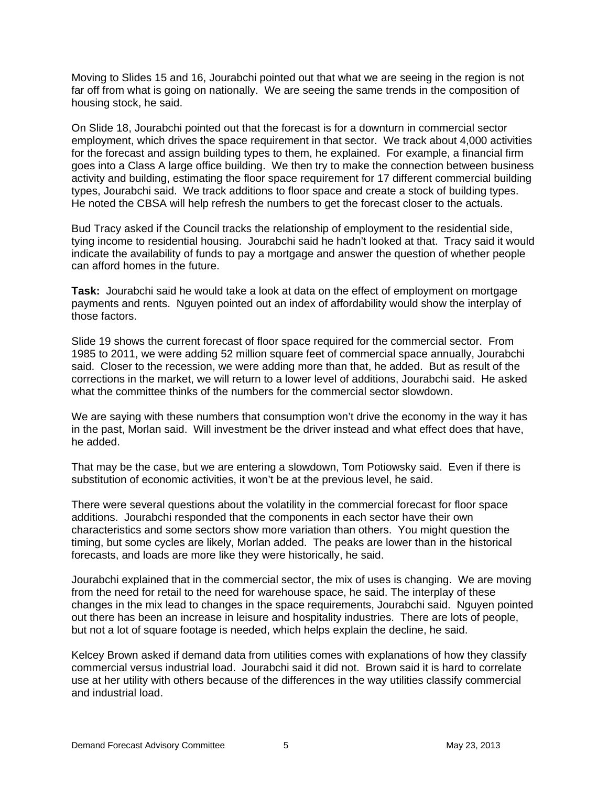Moving to Slides 15 and 16, Jourabchi pointed out that what we are seeing in the region is not far off from what is going on nationally. We are seeing the same trends in the composition of housing stock, he said.

On Slide 18, Jourabchi pointed out that the forecast is for a downturn in commercial sector employment, which drives the space requirement in that sector. We track about 4,000 activities for the forecast and assign building types to them, he explained. For example, a financial firm goes into a Class A large office building. We then try to make the connection between business activity and building, estimating the floor space requirement for 17 different commercial building types, Jourabchi said. We track additions to floor space and create a stock of building types. He noted the CBSA will help refresh the numbers to get the forecast closer to the actuals.

Bud Tracy asked if the Council tracks the relationship of employment to the residential side, tying income to residential housing. Jourabchi said he hadn't looked at that. Tracy said it would indicate the availability of funds to pay a mortgage and answer the question of whether people can afford homes in the future.

**Task:** Jourabchi said he would take a look at data on the effect of employment on mortgage payments and rents. Nguyen pointed out an index of affordability would show the interplay of those factors.

Slide 19 shows the current forecast of floor space required for the commercial sector. From 1985 to 2011, we were adding 52 million square feet of commercial space annually, Jourabchi said. Closer to the recession, we were adding more than that, he added. But as result of the corrections in the market, we will return to a lower level of additions, Jourabchi said. He asked what the committee thinks of the numbers for the commercial sector slowdown.

We are saying with these numbers that consumption won't drive the economy in the way it has in the past, Morlan said. Will investment be the driver instead and what effect does that have, he added.

That may be the case, but we are entering a slowdown, Tom Potiowsky said. Even if there is substitution of economic activities, it won't be at the previous level, he said.

There were several questions about the volatility in the commercial forecast for floor space additions. Jourabchi responded that the components in each sector have their own characteristics and some sectors show more variation than others. You might question the timing, but some cycles are likely, Morlan added. The peaks are lower than in the historical forecasts, and loads are more like they were historically, he said.

Jourabchi explained that in the commercial sector, the mix of uses is changing. We are moving from the need for retail to the need for warehouse space, he said. The interplay of these changes in the mix lead to changes in the space requirements, Jourabchi said. Nguyen pointed out there has been an increase in leisure and hospitality industries. There are lots of people, but not a lot of square footage is needed, which helps explain the decline, he said.

Kelcey Brown asked if demand data from utilities comes with explanations of how they classify commercial versus industrial load. Jourabchi said it did not. Brown said it is hard to correlate use at her utility with others because of the differences in the way utilities classify commercial and industrial load.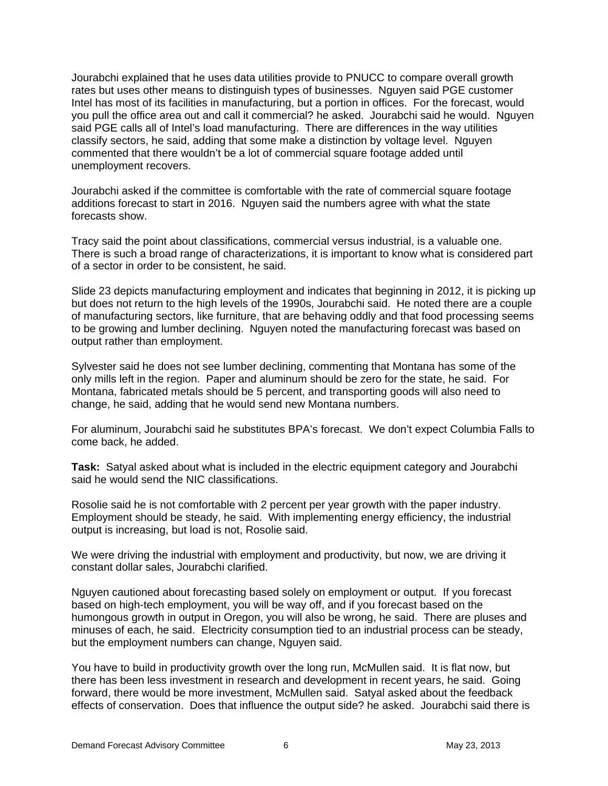Jourabchi explained that he uses data utilities provide to PNUCC to compare overall growth rates but uses other means to distinguish types of businesses. Nguyen said PGE customer Intel has most of its facilities in manufacturing, but a portion in offices. For the forecast, would you pull the office area out and call it commercial? he asked. Jourabchi said he would. Nguyen said PGE calls all of Intel's load manufacturing. There are differences in the way utilities classify sectors, he said, adding that some make a distinction by voltage level. Nguyen commented that there wouldn't be a lot of commercial square footage added until unemployment recovers.

Jourabchi asked if the committee is comfortable with the rate of commercial square footage additions forecast to start in 2016. Nguyen said the numbers agree with what the state forecasts show.

Tracy said the point about classifications, commercial versus industrial, is a valuable one. There is such a broad range of characterizations, it is important to know what is considered part of a sector in order to be consistent, he said.

Slide 23 depicts manufacturing employment and indicates that beginning in 2012, it is picking up but does not return to the high levels of the 1990s, Jourabchi said. He noted there are a couple of manufacturing sectors, like furniture, that are behaving oddly and that food processing seems to be growing and lumber declining. Nguyen noted the manufacturing forecast was based on output rather than employment.

Sylvester said he does not see lumber declining, commenting that Montana has some of the only mills left in the region. Paper and aluminum should be zero for the state, he said. For Montana, fabricated metals should be 5 percent, and transporting goods will also need to change, he said, adding that he would send new Montana numbers.

For aluminum, Jourabchi said he substitutes BPA's forecast. We don't expect Columbia Falls to come back, he added.

**Task:** Satyal asked about what is included in the electric equipment category and Jourabchi said he would send the NIC classifications.

Rosolie said he is not comfortable with 2 percent per year growth with the paper industry. Employment should be steady, he said. With implementing energy efficiency, the industrial output is increasing, but load is not, Rosolie said.

We were driving the industrial with employment and productivity, but now, we are driving it constant dollar sales, Jourabchi clarified.

Nguyen cautioned about forecasting based solely on employment or output. If you forecast based on high-tech employment, you will be way off, and if you forecast based on the humongous growth in output in Oregon, you will also be wrong, he said. There are pluses and minuses of each, he said. Electricity consumption tied to an industrial process can be steady, but the employment numbers can change, Nguyen said.

You have to build in productivity growth over the long run, McMullen said. It is flat now, but there has been less investment in research and development in recent years, he said. Going forward, there would be more investment, McMullen said. Satyal asked about the feedback effects of conservation. Does that influence the output side? he asked. Jourabchi said there is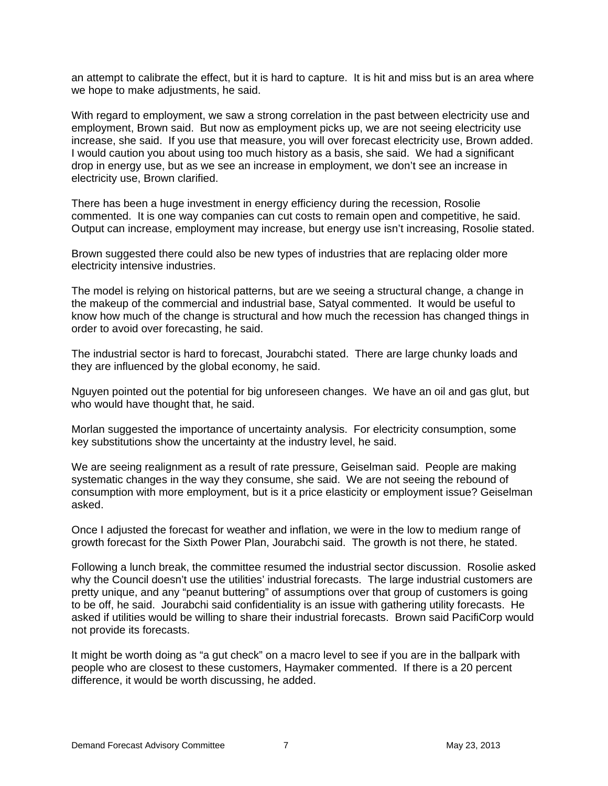an attempt to calibrate the effect, but it is hard to capture. It is hit and miss but is an area where we hope to make adjustments, he said.

With regard to employment, we saw a strong correlation in the past between electricity use and employment, Brown said. But now as employment picks up, we are not seeing electricity use increase, she said. If you use that measure, you will over forecast electricity use, Brown added. I would caution you about using too much history as a basis, she said. We had a significant drop in energy use, but as we see an increase in employment, we don't see an increase in electricity use, Brown clarified.

There has been a huge investment in energy efficiency during the recession, Rosolie commented. It is one way companies can cut costs to remain open and competitive, he said. Output can increase, employment may increase, but energy use isn't increasing, Rosolie stated.

Brown suggested there could also be new types of industries that are replacing older more electricity intensive industries.

The model is relying on historical patterns, but are we seeing a structural change, a change in the makeup of the commercial and industrial base, Satyal commented. It would be useful to know how much of the change is structural and how much the recession has changed things in order to avoid over forecasting, he said.

The industrial sector is hard to forecast, Jourabchi stated. There are large chunky loads and they are influenced by the global economy, he said.

Nguyen pointed out the potential for big unforeseen changes. We have an oil and gas glut, but who would have thought that, he said.

Morlan suggested the importance of uncertainty analysis. For electricity consumption, some key substitutions show the uncertainty at the industry level, he said.

We are seeing realignment as a result of rate pressure, Geiselman said. People are making systematic changes in the way they consume, she said. We are not seeing the rebound of consumption with more employment, but is it a price elasticity or employment issue? Geiselman asked.

Once I adjusted the forecast for weather and inflation, we were in the low to medium range of growth forecast for the Sixth Power Plan, Jourabchi said. The growth is not there, he stated.

Following a lunch break, the committee resumed the industrial sector discussion. Rosolie asked why the Council doesn't use the utilities' industrial forecasts. The large industrial customers are pretty unique, and any "peanut buttering" of assumptions over that group of customers is going to be off, he said. Jourabchi said confidentiality is an issue with gathering utility forecasts. He asked if utilities would be willing to share their industrial forecasts. Brown said PacifiCorp would not provide its forecasts.

It might be worth doing as "a gut check" on a macro level to see if you are in the ballpark with people who are closest to these customers, Haymaker commented. If there is a 20 percent difference, it would be worth discussing, he added.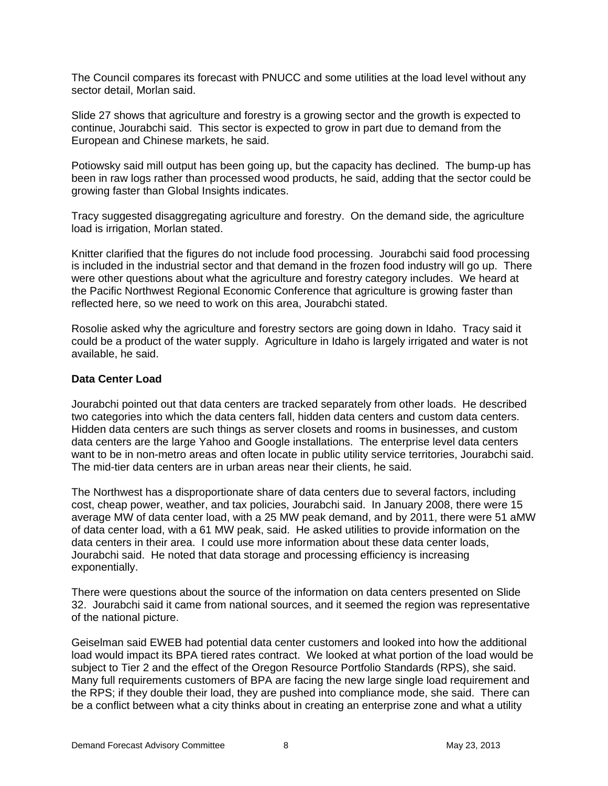The Council compares its forecast with PNUCC and some utilities at the load level without any sector detail, Morlan said.

Slide 27 shows that agriculture and forestry is a growing sector and the growth is expected to continue, Jourabchi said. This sector is expected to grow in part due to demand from the European and Chinese markets, he said.

Potiowsky said mill output has been going up, but the capacity has declined. The bump-up has been in raw logs rather than processed wood products, he said, adding that the sector could be growing faster than Global Insights indicates.

Tracy suggested disaggregating agriculture and forestry. On the demand side, the agriculture load is irrigation, Morlan stated.

Knitter clarified that the figures do not include food processing. Jourabchi said food processing is included in the industrial sector and that demand in the frozen food industry will go up. There were other questions about what the agriculture and forestry category includes. We heard at the Pacific Northwest Regional Economic Conference that agriculture is growing faster than reflected here, so we need to work on this area, Jourabchi stated.

Rosolie asked why the agriculture and forestry sectors are going down in Idaho. Tracy said it could be a product of the water supply. Agriculture in Idaho is largely irrigated and water is not available, he said.

## **Data Center Load**

Jourabchi pointed out that data centers are tracked separately from other loads. He described two categories into which the data centers fall, hidden data centers and custom data centers. Hidden data centers are such things as server closets and rooms in businesses, and custom data centers are the large Yahoo and Google installations. The enterprise level data centers want to be in non-metro areas and often locate in public utility service territories, Jourabchi said. The mid-tier data centers are in urban areas near their clients, he said.

The Northwest has a disproportionate share of data centers due to several factors, including cost, cheap power, weather, and tax policies, Jourabchi said. In January 2008, there were 15 average MW of data center load, with a 25 MW peak demand, and by 2011, there were 51 aMW of data center load, with a 61 MW peak, said. He asked utilities to provide information on the data centers in their area. I could use more information about these data center loads, Jourabchi said. He noted that data storage and processing efficiency is increasing exponentially.

There were questions about the source of the information on data centers presented on Slide 32. Jourabchi said it came from national sources, and it seemed the region was representative of the national picture.

Geiselman said EWEB had potential data center customers and looked into how the additional load would impact its BPA tiered rates contract. We looked at what portion of the load would be subject to Tier 2 and the effect of the Oregon Resource Portfolio Standards (RPS), she said. Many full requirements customers of BPA are facing the new large single load requirement and the RPS; if they double their load, they are pushed into compliance mode, she said. There can be a conflict between what a city thinks about in creating an enterprise zone and what a utility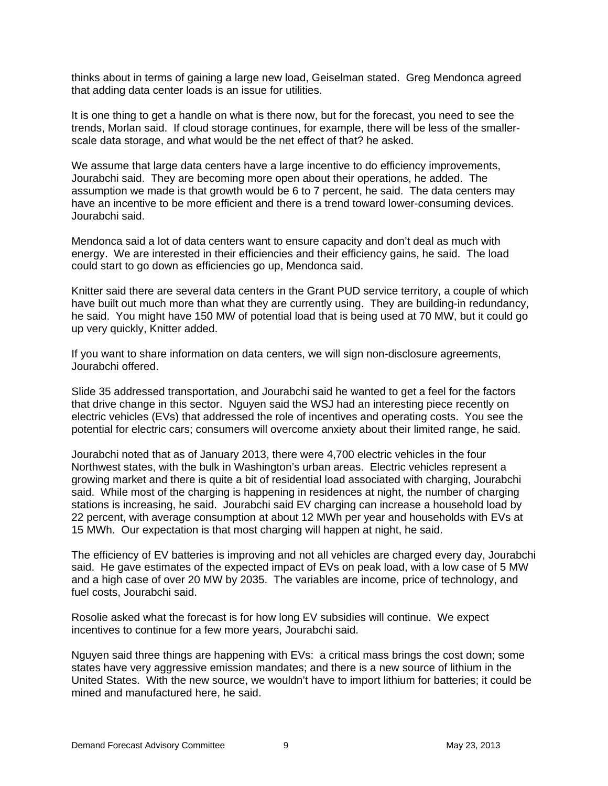thinks about in terms of gaining a large new load, Geiselman stated. Greg Mendonca agreed that adding data center loads is an issue for utilities.

It is one thing to get a handle on what is there now, but for the forecast, you need to see the trends, Morlan said. If cloud storage continues, for example, there will be less of the smallerscale data storage, and what would be the net effect of that? he asked.

We assume that large data centers have a large incentive to do efficiency improvements, Jourabchi said. They are becoming more open about their operations, he added. The assumption we made is that growth would be 6 to 7 percent, he said. The data centers may have an incentive to be more efficient and there is a trend toward lower-consuming devices. Jourabchi said.

Mendonca said a lot of data centers want to ensure capacity and don't deal as much with energy. We are interested in their efficiencies and their efficiency gains, he said. The load could start to go down as efficiencies go up, Mendonca said.

Knitter said there are several data centers in the Grant PUD service territory, a couple of which have built out much more than what they are currently using. They are building-in redundancy, he said. You might have 150 MW of potential load that is being used at 70 MW, but it could go up very quickly, Knitter added.

If you want to share information on data centers, we will sign non-disclosure agreements, Jourabchi offered.

Slide 35 addressed transportation, and Jourabchi said he wanted to get a feel for the factors that drive change in this sector. Nguyen said the WSJ had an interesting piece recently on electric vehicles (EVs) that addressed the role of incentives and operating costs. You see the potential for electric cars; consumers will overcome anxiety about their limited range, he said.

Jourabchi noted that as of January 2013, there were 4,700 electric vehicles in the four Northwest states, with the bulk in Washington's urban areas. Electric vehicles represent a growing market and there is quite a bit of residential load associated with charging, Jourabchi said. While most of the charging is happening in residences at night, the number of charging stations is increasing, he said. Jourabchi said EV charging can increase a household load by 22 percent, with average consumption at about 12 MWh per year and households with EVs at 15 MWh. Our expectation is that most charging will happen at night, he said.

The efficiency of EV batteries is improving and not all vehicles are charged every day, Jourabchi said. He gave estimates of the expected impact of EVs on peak load, with a low case of 5 MW and a high case of over 20 MW by 2035. The variables are income, price of technology, and fuel costs, Jourabchi said.

Rosolie asked what the forecast is for how long EV subsidies will continue. We expect incentives to continue for a few more years, Jourabchi said.

Nguyen said three things are happening with EVs: a critical mass brings the cost down; some states have very aggressive emission mandates; and there is a new source of lithium in the United States. With the new source, we wouldn't have to import lithium for batteries; it could be mined and manufactured here, he said.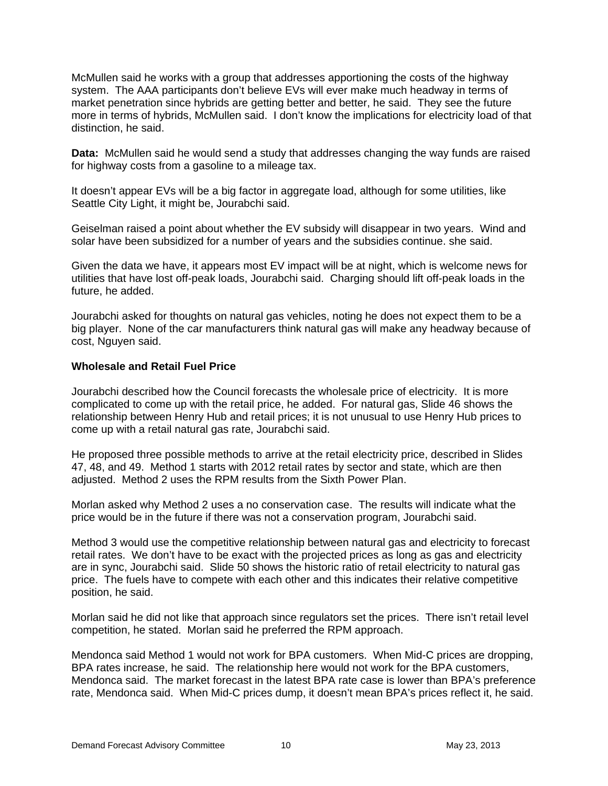McMullen said he works with a group that addresses apportioning the costs of the highway system. The AAA participants don't believe EVs will ever make much headway in terms of market penetration since hybrids are getting better and better, he said. They see the future more in terms of hybrids, McMullen said. I don't know the implications for electricity load of that distinction, he said.

**Data:** McMullen said he would send a study that addresses changing the way funds are raised for highway costs from a gasoline to a mileage tax.

It doesn't appear EVs will be a big factor in aggregate load, although for some utilities, like Seattle City Light, it might be, Jourabchi said.

Geiselman raised a point about whether the EV subsidy will disappear in two years. Wind and solar have been subsidized for a number of years and the subsidies continue. she said.

Given the data we have, it appears most EV impact will be at night, which is welcome news for utilities that have lost off-peak loads, Jourabchi said. Charging should lift off-peak loads in the future, he added.

Jourabchi asked for thoughts on natural gas vehicles, noting he does not expect them to be a big player. None of the car manufacturers think natural gas will make any headway because of cost, Nguyen said.

#### **Wholesale and Retail Fuel Price**

Jourabchi described how the Council forecasts the wholesale price of electricity. It is more complicated to come up with the retail price, he added. For natural gas, Slide 46 shows the relationship between Henry Hub and retail prices; it is not unusual to use Henry Hub prices to come up with a retail natural gas rate, Jourabchi said.

He proposed three possible methods to arrive at the retail electricity price, described in Slides 47, 48, and 49. Method 1 starts with 2012 retail rates by sector and state, which are then adjusted. Method 2 uses the RPM results from the Sixth Power Plan.

Morlan asked why Method 2 uses a no conservation case. The results will indicate what the price would be in the future if there was not a conservation program, Jourabchi said.

Method 3 would use the competitive relationship between natural gas and electricity to forecast retail rates. We don't have to be exact with the projected prices as long as gas and electricity are in sync, Jourabchi said. Slide 50 shows the historic ratio of retail electricity to natural gas price. The fuels have to compete with each other and this indicates their relative competitive position, he said.

Morlan said he did not like that approach since regulators set the prices. There isn't retail level competition, he stated. Morlan said he preferred the RPM approach.

Mendonca said Method 1 would not work for BPA customers. When Mid-C prices are dropping, BPA rates increase, he said. The relationship here would not work for the BPA customers, Mendonca said. The market forecast in the latest BPA rate case is lower than BPA's preference rate, Mendonca said. When Mid-C prices dump, it doesn't mean BPA's prices reflect it, he said.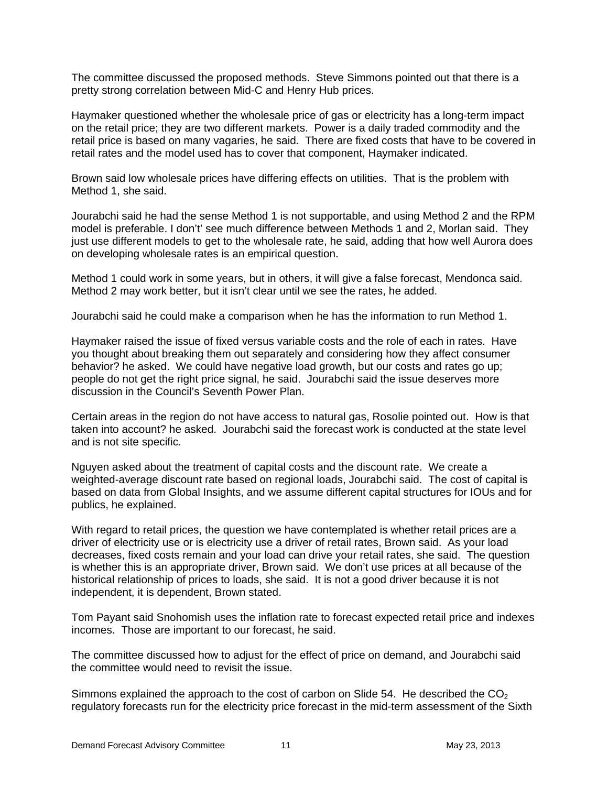The committee discussed the proposed methods. Steve Simmons pointed out that there is a pretty strong correlation between Mid-C and Henry Hub prices.

Haymaker questioned whether the wholesale price of gas or electricity has a long-term impact on the retail price; they are two different markets. Power is a daily traded commodity and the retail price is based on many vagaries, he said. There are fixed costs that have to be covered in retail rates and the model used has to cover that component, Haymaker indicated.

Brown said low wholesale prices have differing effects on utilities. That is the problem with Method 1, she said.

Jourabchi said he had the sense Method 1 is not supportable, and using Method 2 and the RPM model is preferable. I don't' see much difference between Methods 1 and 2, Morlan said. They just use different models to get to the wholesale rate, he said, adding that how well Aurora does on developing wholesale rates is an empirical question.

Method 1 could work in some years, but in others, it will give a false forecast, Mendonca said. Method 2 may work better, but it isn't clear until we see the rates, he added.

Jourabchi said he could make a comparison when he has the information to run Method 1.

Haymaker raised the issue of fixed versus variable costs and the role of each in rates. Have you thought about breaking them out separately and considering how they affect consumer behavior? he asked. We could have negative load growth, but our costs and rates go up; people do not get the right price signal, he said. Jourabchi said the issue deserves more discussion in the Council's Seventh Power Plan.

Certain areas in the region do not have access to natural gas, Rosolie pointed out. How is that taken into account? he asked. Jourabchi said the forecast work is conducted at the state level and is not site specific.

Nguyen asked about the treatment of capital costs and the discount rate. We create a weighted-average discount rate based on regional loads, Jourabchi said. The cost of capital is based on data from Global Insights, and we assume different capital structures for IOUs and for publics, he explained.

With regard to retail prices, the question we have contemplated is whether retail prices are a driver of electricity use or is electricity use a driver of retail rates, Brown said. As your load decreases, fixed costs remain and your load can drive your retail rates, she said. The question is whether this is an appropriate driver, Brown said. We don't use prices at all because of the historical relationship of prices to loads, she said. It is not a good driver because it is not independent, it is dependent, Brown stated.

Tom Payant said Snohomish uses the inflation rate to forecast expected retail price and indexes incomes. Those are important to our forecast, he said.

The committee discussed how to adjust for the effect of price on demand, and Jourabchi said the committee would need to revisit the issue.

Simmons explained the approach to the cost of carbon on Slide 54. He described the  $CO<sub>2</sub>$ regulatory forecasts run for the electricity price forecast in the mid-term assessment of the Sixth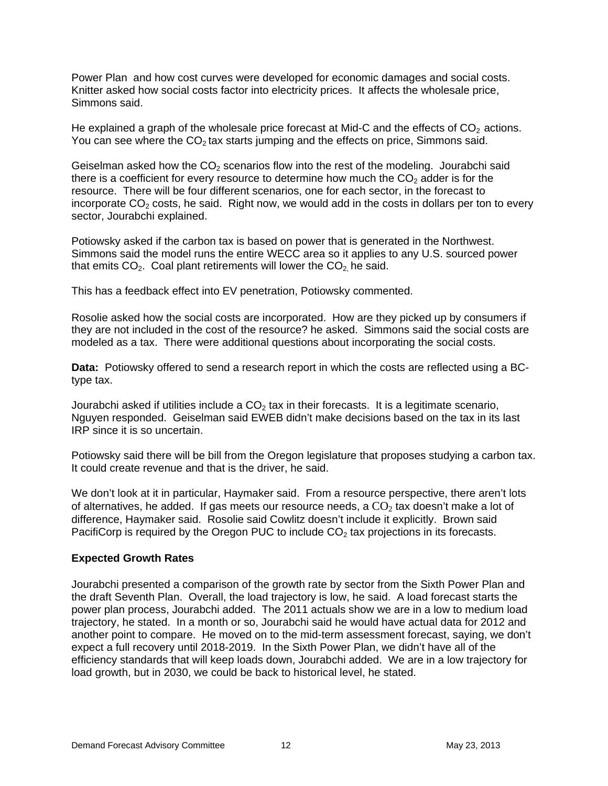Power Plan and how cost curves were developed for economic damages and social costs. Knitter asked how social costs factor into electricity prices. It affects the wholesale price, Simmons said.

He explained a graph of the wholesale price forecast at Mid-C and the effects of  $CO<sub>2</sub>$  actions. You can see where the  $CO<sub>2</sub>$  tax starts jumping and the effects on price, Simmons said.

Geiselman asked how the  $CO<sub>2</sub>$  scenarios flow into the rest of the modeling. Jourabchi said there is a coefficient for every resource to determine how much the  $CO<sub>2</sub>$  adder is for the resource. There will be four different scenarios, one for each sector, in the forecast to incorporate  $CO<sub>2</sub>$  costs, he said. Right now, we would add in the costs in dollars per ton to every sector, Jourabchi explained.

Potiowsky asked if the carbon tax is based on power that is generated in the Northwest. Simmons said the model runs the entire WECC area so it applies to any U.S. sourced power that emits  $CO<sub>2</sub>$ . Coal plant retirements will lower the  $CO<sub>2</sub>$  he said.

This has a feedback effect into EV penetration, Potiowsky commented.

Rosolie asked how the social costs are incorporated. How are they picked up by consumers if they are not included in the cost of the resource? he asked. Simmons said the social costs are modeled as a tax. There were additional questions about incorporating the social costs.

**Data:** Potiowsky offered to send a research report in which the costs are reflected using a BCtype tax.

Jourabchi asked if utilities include a  $CO<sub>2</sub>$  tax in their forecasts. It is a legitimate scenario, Nguyen responded. Geiselman said EWEB didn't make decisions based on the tax in its last IRP since it is so uncertain.

Potiowsky said there will be bill from the Oregon legislature that proposes studying a carbon tax. It could create revenue and that is the driver, he said.

We don't look at it in particular, Haymaker said. From a resource perspective, there aren't lots of alternatives, he added. If gas meets our resource needs, a  $CO<sub>2</sub>$  tax doesn't make a lot of difference, Haymaker said. Rosolie said Cowlitz doesn't include it explicitly. Brown said PacifiCorp is required by the Oregon PUC to include  $CO<sub>2</sub>$  tax projections in its forecasts.

# **Expected Growth Rates**

Jourabchi presented a comparison of the growth rate by sector from the Sixth Power Plan and the draft Seventh Plan. Overall, the load trajectory is low, he said. A load forecast starts the power plan process, Jourabchi added. The 2011 actuals show we are in a low to medium load trajectory, he stated. In a month or so, Jourabchi said he would have actual data for 2012 and another point to compare. He moved on to the mid-term assessment forecast, saying, we don't expect a full recovery until 2018-2019. In the Sixth Power Plan, we didn't have all of the efficiency standards that will keep loads down, Jourabchi added. We are in a low trajectory for load growth, but in 2030, we could be back to historical level, he stated.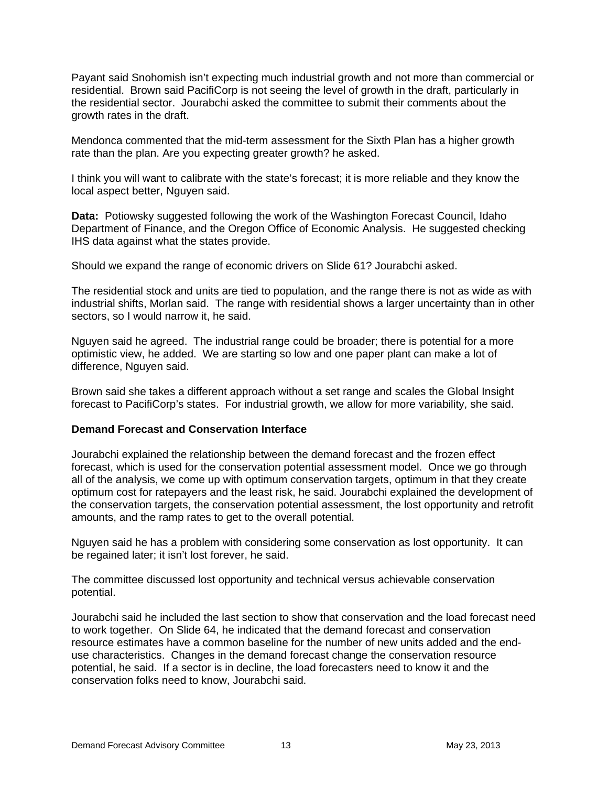Payant said Snohomish isn't expecting much industrial growth and not more than commercial or residential. Brown said PacifiCorp is not seeing the level of growth in the draft, particularly in the residential sector. Jourabchi asked the committee to submit their comments about the growth rates in the draft.

Mendonca commented that the mid-term assessment for the Sixth Plan has a higher growth rate than the plan. Are you expecting greater growth? he asked.

I think you will want to calibrate with the state's forecast; it is more reliable and they know the local aspect better, Nguyen said.

**Data:** Potiowsky suggested following the work of the Washington Forecast Council, Idaho Department of Finance, and the Oregon Office of Economic Analysis. He suggested checking IHS data against what the states provide.

Should we expand the range of economic drivers on Slide 61? Jourabchi asked.

The residential stock and units are tied to population, and the range there is not as wide as with industrial shifts, Morlan said. The range with residential shows a larger uncertainty than in other sectors, so I would narrow it, he said.

Nguyen said he agreed. The industrial range could be broader; there is potential for a more optimistic view, he added. We are starting so low and one paper plant can make a lot of difference, Nguyen said.

Brown said she takes a different approach without a set range and scales the Global Insight forecast to PacifiCorp's states. For industrial growth, we allow for more variability, she said.

## **Demand Forecast and Conservation Interface**

Jourabchi explained the relationship between the demand forecast and the frozen effect forecast, which is used for the conservation potential assessment model. Once we go through all of the analysis, we come up with optimum conservation targets, optimum in that they create optimum cost for ratepayers and the least risk, he said. Jourabchi explained the development of the conservation targets, the conservation potential assessment, the lost opportunity and retrofit amounts, and the ramp rates to get to the overall potential.

Nguyen said he has a problem with considering some conservation as lost opportunity. It can be regained later; it isn't lost forever, he said.

The committee discussed lost opportunity and technical versus achievable conservation potential.

Jourabchi said he included the last section to show that conservation and the load forecast need to work together. On Slide 64, he indicated that the demand forecast and conservation resource estimates have a common baseline for the number of new units added and the enduse characteristics. Changes in the demand forecast change the conservation resource potential, he said. If a sector is in decline, the load forecasters need to know it and the conservation folks need to know, Jourabchi said.